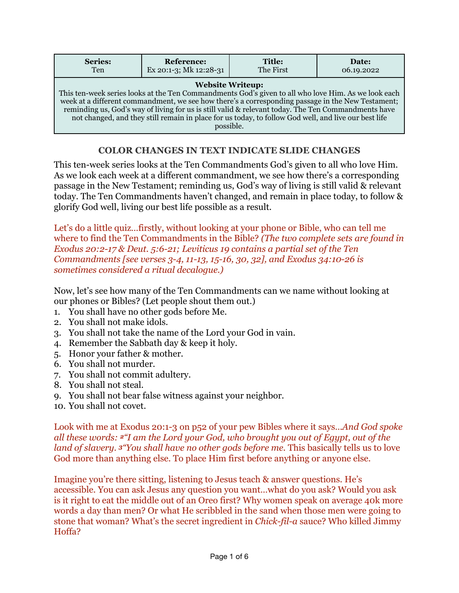| Series:                                                                                                                                                                                                                                                                                                                                                                                                                                                         | <b>Reference:</b>      | Title:    | Date:      |
|-----------------------------------------------------------------------------------------------------------------------------------------------------------------------------------------------------------------------------------------------------------------------------------------------------------------------------------------------------------------------------------------------------------------------------------------------------------------|------------------------|-----------|------------|
| <b>Ten</b>                                                                                                                                                                                                                                                                                                                                                                                                                                                      | Ex 20:1-3; Mk 12:28-31 | The First | 06.19.2022 |
| <b>Website Writeup:</b><br>This ten-week series looks at the Ten Commandments God's given to all who love Him. As we look each<br>week at a different commandment, we see how there's a corresponding passage in the New Testament;<br>reminding us, God's way of living for us is still valid & relevant today. The Ten Commandments have<br>not changed, and they still remain in place for us today, to follow God well, and live our best life<br>possible. |                        |           |            |

## **COLOR CHANGES IN TEXT INDICATE SLIDE CHANGES**

This ten-week series looks at the Ten Commandments God's given to all who love Him. As we look each week at a different commandment, we see how there's a corresponding passage in the New Testament; reminding us, God's way of living is still valid & relevant today. The Ten Commandments haven't changed, and remain in place today, to follow & glorify God well, living our best life possible as a result.

Let's do a little quiz…firstly, without looking at your phone or Bible, who can tell me where to find the Ten Commandments in the Bible? *(The two complete sets are found in Exodus 20:2-17 & Deut. 5:6-21; Leviticus 19 contains a partial set of the Ten Commandments [see verses 3-4, 11-13, 15-16, 30, 32], and Exodus 34:10-26 is sometimes considered a ritual decalogue.)*

Now, let's see how many of the Ten Commandments can we name without looking at our phones or Bibles? (Let people shout them out.)

- 1. You shall have no other gods before Me.
- 2. You shall not make idols.
- 3. You shall not take the name of the Lord your God in vain.
- 4. Remember the Sabbath day & keep it holy.
- 5. Honor your father & mother.
- 6. You shall not murder.
- 7. You shall not commit adultery.
- 8. You shall not steal.
- 9. You shall not bear false witness against your neighbor.
- 10. You shall not covet.

Look with me at Exodus 20:1-3 on p52 of your pew Bibles where it says…*And God spoke all these words: 2"I am the Lord your God, who brought you out of Egypt, out of the land of slavery. 3"You shall have no other gods before me.* This basically tells us to love God more than anything else. To place Him first before anything or anyone else.

Imagine you're there sitting, listening to Jesus teach & answer questions. He's accessible. You can ask Jesus any question you want…what do you ask? Would you ask is it right to eat the middle out of an Oreo first? Why women speak on average 40k more words a day than men? Or what He scribbled in the sand when those men were going to stone that woman? What's the secret ingredient in *Chick-fil-a* sauce? Who killed Jimmy Hoffa?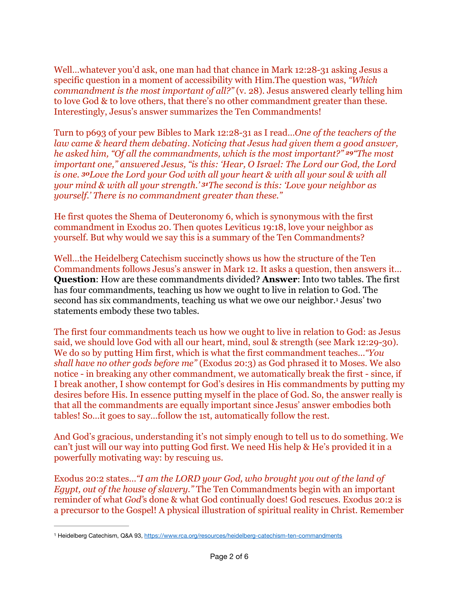Well…whatever you'd ask, one man had that chance in Mark 12:28-31 asking Jesus a specific question in a moment of accessibility with Him.The question was, *"Which commandment is the most important of all?"* (v. 28). Jesus answered clearly telling him to love God & to love others, that there's no other commandment greater than these. Interestingly, Jesus's answer summarizes the Ten Commandments!

Turn to p693 of your pew Bibles to Mark 12:28-31 as I read…*One of the teachers of the law came & heard them debating. Noticing that Jesus had given them a good answer, he asked him, "Of all the commandments, which is the most important?" 29"The most important one," answered Jesus, "is this: 'Hear, O Israel: The Lord our God, the Lord is one. 30Love the Lord your God with all your heart & with all your soul & with all your mind & with all your strength.' 31The second is this: 'Love your neighbor as yourself.' There is no commandment greater than these."*

He first quotes the Shema of Deuteronomy 6, which is synonymous with the first commandment in Exodus 20. Then quotes Leviticus 19:18, love your neighbor as yourself. But why would we say this is a summary of the Ten Commandments?

Well…the Heidelberg Catechism succinctly shows us how the structure of the Ten Commandments follows Jesus's answer in Mark 12. It asks a question, then answers it… **Question**: How are these commandments divided? **Answer**: Into two tables. The first has four commandments, teaching us how we ought to live in relation to God. The second has six commandments, teaching us what we owe our neighbor.<sup>[1](#page-1-0)</sup> Jesus' two statements embody these two tables.

<span id="page-1-1"></span>The first four commandments teach us how we ought to live in relation to God: as Jesus said, we should love God with all our heart, mind, soul & strength (see Mark 12:29-30). We do so by putting Him first, which is what the first commandment teaches…*"You shall have no other gods before me"* (Exodus 20:3) as God phrased it to Moses. We also notice - in breaking any other commandment, we automatically break the first - since, if I break another, I show contempt for God's desires in His commandments by putting my desires before His. In essence putting myself in the place of God. So, the answer really is that all the commandments are equally important since Jesus' answer embodies both tables! So…it goes to say…follow the 1st, automatically follow the rest.

And God's gracious, understanding it's not simply enough to tell us to do something. We can't just will our way into putting God first. We need His help & He's provided it in a powerfully motivating way: by rescuing us.

Exodus 20:2 states…*"I am the LORD your God, who brought you out of the land of Egypt, out of the house of slavery."* The Ten Commandments begin with an important reminder of what *God'*s done & what God continually does! God rescues. Exodus 20:2 is a precursor to the Gospel! A physical illustration of spiritual reality in Christ. Remember

<span id="page-1-0"></span>[<sup>1</sup>](#page-1-1) Heidelberg Catechism, Q&A 93, <https://www.rca.org/resources/heidelberg-catechism-ten-commandments>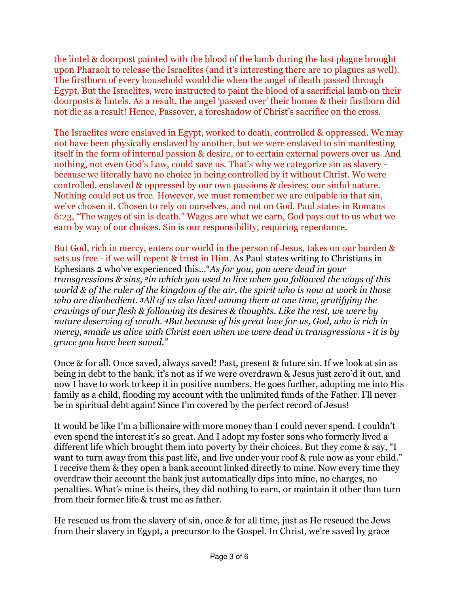the lintel & doorpost painted with the blood of the lamb during the last plague brought upon Pharaoh to release the Israelites (and it's interesting there are 10 plagues as well). The firstborn of every household would die when the angel of death passed through Egypt. But the Israelites, were instructed to paint the blood of a sacrificial lamb on their doorposts & lintels. As a result, the angel 'passed over' their homes & their firstborn did not die as a result! Hence, Passover, a foreshadow of Christ's sacrifice on the cross.

The Israelites were enslaved in Egypt, worked to death, controlled & oppressed. We may not have been physically enslaved by another, but we were enslaved to sin manifesting itself in the form of internal passion & desire, or to certain external powers over us. And nothing, not even God's Law, could save us. That's why we categorize sin as slavery because we literally have no choice in being controlled by it without Christ. We were controlled, enslaved & oppressed by our own passions & desires; our sinful nature. Nothing could set us free. However, we must remember we are culpable in that sin, we've chosen it. Chosen to rely on ourselves, and not on God. Paul states in Romans 6:23, "The wages of sin is death." Wages are what we earn, God pays out to us what we earn by way of our choices. Sin is our responsibility, requiring repentance.

But God, rich in mercy, enters our world in the person of Jesus, takes on our burden & sets us free - if we will repent & trust in Him. As Paul states writing to Christians in Ephesians 2 who've experienced this…"*As for you, you were dead in your transgressions & sins, 2in which you used to live when you followed the ways of this world & of the ruler of the kingdom of the air, the spirit who is now at work in those who are disobedient. 3All of us also lived among them at one time, gratifying the cravings of our flesh & following its desires & thoughts. Like the rest, we were by nature deserving of wrath. 4But because of his great love for us, God, who is rich in mercy, 5made us alive with Christ even when we were dead in transgressions - it is by grace you have been saved."* 

Once & for all. Once saved, always saved! Past, present & future sin. If we look at sin as being in debt to the bank, it's not as if we were overdrawn & Jesus just zero'd it out, and now I have to work to keep it in positive numbers. He goes further, adopting me into His family as a child, flooding my account with the unlimited funds of the Father. I'll never be in spiritual debt again! Since I'm covered by the perfect record of Jesus!

It would be like I'm a billionaire with more money than I could never spend. I couldn't even spend the interest it's so great. And I adopt my foster sons who formerly lived a different life which brought them into poverty by their choices. But they come & say, "I want to turn away from this past life, and live under your roof & rule now as your child." I receive them & they open a bank account linked directly to mine. Now every time they overdraw their account the bank just automatically dips into mine, no charges, no penalties. What's mine is theirs, they did nothing to earn, or maintain it other than turn from their former life & trust me as father.

He rescued us from the slavery of sin, once & for all time, just as He rescued the Jews from their slavery in Egypt, a precursor to the Gospel. In Christ, we're saved by grace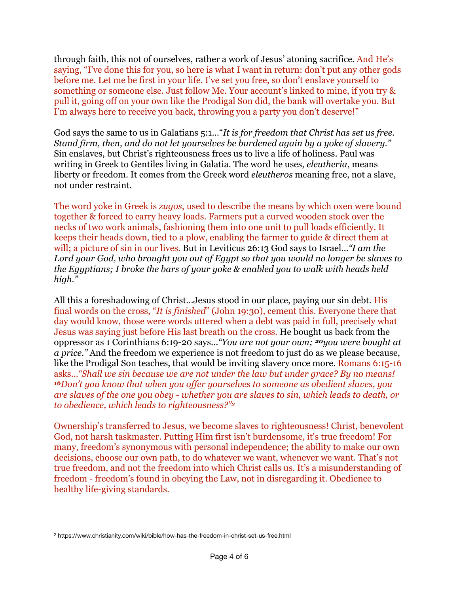through faith, this not of ourselves, rather a work of Jesus' atoning sacrifice. And He's saying, "I've done this for you, so here is what I want in return: don't put any other gods before me. Let me be first in your life. I've set you free, so don't enslave yourself to something or someone else. Just follow Me. Your account's linked to mine, if you try & pull it, going off on your own like the Prodigal Son did, the bank will overtake you. But I'm always here to receive you back, throwing you a party you don't deserve!"

God says the same to us in Galatians 5:1…"*It is for freedom that Christ has set us free. Stand firm, then, and do not let yourselves be burdened again by a yoke of slavery."*  Sin enslaves, but Christ's righteousness frees us to live a life of holiness. Paul was writing in Greek to Gentiles living in Galatia. The word he uses, *eleutheria*, means liberty or freedom. It comes from the Greek word *eleutheros* meaning free, not a slave, not under restraint.

The word yoke in Greek is *zugos*, used to describe the means by which oxen were bound together & forced to carry heavy loads. Farmers put a curved wooden stock over the necks of two work animals, fashioning them into one unit to pull loads efficiently. It keeps their heads down, tied to a plow, enabling the farmer to guide & direct them at will; a picture of sin in our lives. But in Leviticus 26:13 God says to Israel…*"I am the Lord your God, who brought you out of Egypt so that you would no longer be slaves to the Egyptians; I broke the bars of your yoke & enabled you to walk with heads held high."* 

All this a foreshadowing of Christ…Jesus stood in our place, paying our sin debt. His final words on the cross, "*It is finished*" (John 19:30), cement this. Everyone there that day would know, those were words uttered when a debt was paid in full, precisely what Jesus was saying just before His last breath on the cross. He bought us back from the oppressor as 1 Corinthians 6:19-20 says…*"You are not your own; 20you were bought at a price."* And the freedom we experience is not freedom to just do as we please because, like the Prodigal Son teaches, that would be inviting slavery once more. Romans 6:15-16 asks…*"Shall we sin because we are not under the law but under grace? By no means! <sup>16</sup>Don't you know that when you offer yourselves to someone as obedient slaves, you are slaves of the one you obey - whether you are slaves to sin, which leads to death, or to obedience, which leads to righteousness?"[2](#page-3-0)*

<span id="page-3-1"></span>Ownership's transferred to Jesus, we become slaves to righteousness! Christ, benevolent God, not harsh taskmaster. Putting Him first isn't burdensome, it's true freedom! For many, freedom's synonymous with personal independence; the ability to make our own decisions, choose our own path, to do whatever we want, whenever we want. That's not true freedom, and not the freedom into which Christ calls us. It's a misunderstanding of freedom - freedom's found in obeying the Law, not in disregarding it. Obedience to healthy life-giving standards.

<span id="page-3-0"></span>https://www.christianity.com/wiki/bible/how-has-the-freedom-in-christ-set-us-free.html [2](#page-3-1)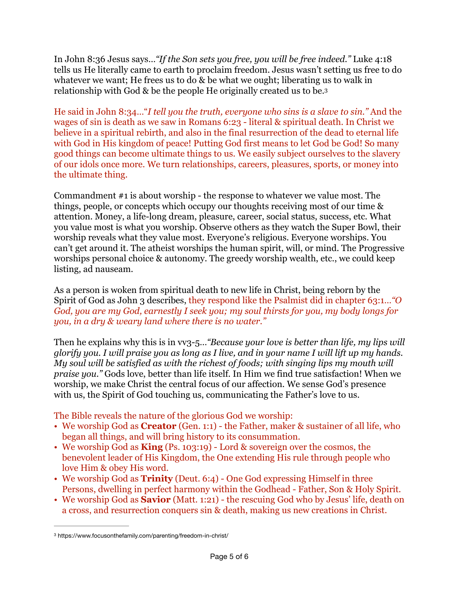In John 8:36 Jesus says…*"If the Son sets you free, you will be free indeed."* Luke 4:18 tells us He literally came to earth to proclaim freedom. Jesus wasn't setting us free to do whatever we want; He frees us to do & be what we ought; liberating us to walk in relationship with God & be the people He originally created us to be.[3](#page-4-0)

<span id="page-4-1"></span>He said in John 8:34…"*I tell you the truth, everyone who sins is a slave to sin."* And the wages of sin is death as we saw in Romans 6:23 - literal & spiritual death. In Christ we believe in a spiritual rebirth, and also in the final resurrection of the dead to eternal life with God in His kingdom of peace! Putting God first means to let God be God! So many good things can become ultimate things to us. We easily subject ourselves to the slavery of our idols once more. We turn relationships, careers, pleasures, sports, or money into the ultimate thing.

Commandment #1 is about worship - the response to whatever we value most. The things, people, or concepts which occupy our thoughts receiving most of our time & attention. Money, a life-long dream, pleasure, career, social status, success, etc. What you value most is what you worship. Observe others as they watch the Super Bowl, their worship reveals what they value most. Everyone's religious. Everyone worships. You can't get around it. The atheist worships the human spirit, will, or mind. The Progressive worships personal choice & autonomy. The greedy worship wealth, etc., we could keep listing, ad nauseam.

As a person is woken from spiritual death to new life in Christ, being reborn by the Spirit of God as John 3 describes, they respond like the Psalmist did in chapter 63:1…*"O God, you are my God, earnestly I seek you; my soul thirsts for you, my body longs for you, in a dry & weary land where there is no water."* 

Then he explains why this is in vv<sub>3</sub>-5... *"Because your love is better than life, my lips will glorify you. I will praise you as long as I live, and in your name I will lift up my hands. My soul will be satisfied as with the richest of foods; with singing lips my mouth will praise you."* Gods love, better than life itself. In Him we find true satisfaction! When we worship, we make Christ the central focus of our affection. We sense God's presence with us, the Spirit of God touching us, communicating the Father's love to us.

The Bible reveals the nature of the glorious God we worship:

- We worship God as **Creator** (Gen. 1:1) the Father, maker & sustainer of all life, who began all things, and will bring history to its consummation.
- We worship God as **King** (Ps. 103:19) Lord & sovereign over the cosmos, the benevolent leader of His Kingdom, the One extending His rule through people who love Him & obey His word.
- We worship God as **Trinity** (Deut. 6:4) One God expressing Himself in three Persons, dwelling in perfect harmony within the Godhead - Father, Son & Holy Spirit.
- We worship God as **Savior** (Matt. 1:21) the rescuing God who by Jesus' life, death on a cross, and resurrection conquers sin & death, making us new creations in Christ.

<span id="page-4-0"></span>https://www.focusonthefamily.com/parenting/freedom-in-christ/ [3](#page-4-1)